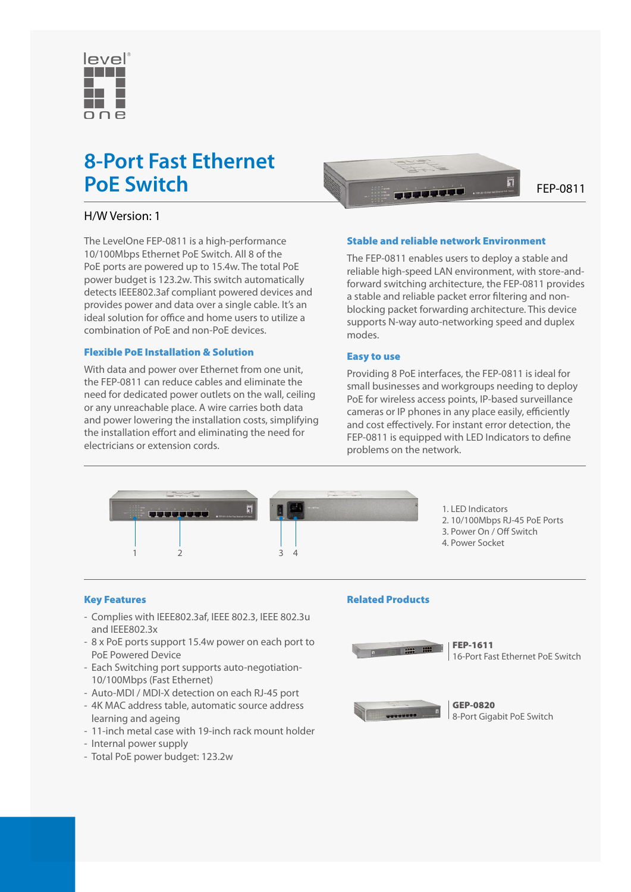

# **8-Port Fast Ethernet**

# H/W Version: 1

The LevelOne FEP-0811 is a high-performance 10/100Mbps Ethernet PoE Switch. All 8 of the PoE ports are powered up to 15.4w. The total PoE power budget is 123.2w. This switch automatically detects IEEE802.3af compliant powered devices and provides power and data over a single cable. It's an ideal solution for office and home users to utilize a combination of PoE and non-PoE devices.

## Flexible PoE Installation & Solution

With data and power over Ethernet from one unit. the FEP-0811 can reduce cables and eliminate the need for dedicated power outlets on the wall, ceiling or any unreachable place. A wire carries both data and power lowering the installation costs, simplifying the installation effort and eliminating the need for electricians or extension cords.



## Stable and reliable network Environment

The FEP-0811 enables users to deploy a stable and reliable high-speed LAN environment, with store-andforward switching architecture, the FEP-0811 provides a stable and reliable packet error filtering and nonblocking packet forwarding architecture. This device supports N-way auto-networking speed and duplex modes.

#### Easy to use

Providing 8 PoE interfaces, the FEP-0811 is ideal for small businesses and workgroups needing to deploy PoE for wireless access points, IP-based surveillance cameras or IP phones in any place easily, efficiently and cost effectively. For instant error detection, the FEP-0811 is equipped with LED Indicators to define problems on the network.



1. LED Indicators 2. 10/100Mbps RJ-45 PoE Ports 3. Power On / Off Switch 4. Power Socket

#### Key Features

- Complies with IEEE802.3af, IEEE 802.3, IEEE 802.3u and IEEE802.3x
- 8 x PoE ports support 15.4w power on each port to PoE Powered Device
- Each Switching port supports auto-negotiation-10/100Mbps (Fast Ethernet)
- Auto-MDI / MDI-X detection on each RJ-45 port
- 4K MAC address table, automatic source address learning and ageing
- 11-inch metal case with 19-inch rack mount holder
- Internal power supply
- Total PoE power budget: 123.2w

#### Related Products



FEP-1611 16-Port Fast Ethernet PoE Switch

GEP-0820 8-Port Gigabit PoE Switch